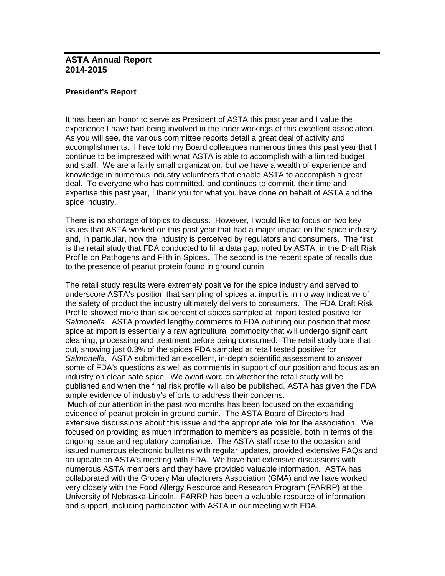## **ASTA Annual Report 2014-2015**

## **President's Report**

It has been an honor to serve as President of ASTA this past year and I value the experience I have had being involved in the inner workings of this excellent association. As you will see, the various committee reports detail a great deal of activity and accomplishments. I have told my Board colleagues numerous times this past year that I continue to be impressed with what ASTA is able to accomplish with a limited budget and staff. We are a fairly small organization, but we have a wealth of experience and knowledge in numerous industry volunteers that enable ASTA to accomplish a great deal. To everyone who has committed, and continues to commit, their time and expertise this past year, I thank you for what you have done on behalf of ASTA and the spice industry.

There is no shortage of topics to discuss. However, I would like to focus on two key issues that ASTA worked on this past year that had a major impact on the spice industry and, in particular, how the industry is perceived by regulators and consumers. The first is the retail study that FDA conducted to fill a data gap, noted by ASTA, in the Draft Risk Profile on Pathogens and Filth in Spices. The second is the recent spate of recalls due to the presence of peanut protein found in ground cumin.

The retail study results were extremely positive for the spice industry and served to underscore ASTA's position that sampling of spices at import is in no way indicative of the safety of product the industry ultimately delivers to consumers. The FDA Draft Risk Profile showed more than six percent of spices sampled at import tested positive for *Salmonella.* ASTA provided lengthy comments to FDA outlining our position that most spice at import is essentially a raw agricultural commodity that will undergo significant cleaning, processing and treatment before being consumed. The retail study bore that out, showing just 0.3% of the spices FDA sampled at retail tested positive for *Salmonella.* ASTA submitted an excellent, in-depth scientific assessment to answer some of FDA's questions as well as comments in support of our position and focus as an industry on clean safe spice. We await word on whether the retail study will be published and when the final risk profile will also be published. ASTA has given the FDA ample evidence of industry's efforts to address their concerns.

Much of our attention in the past two months has been focused on the expanding evidence of peanut protein in ground cumin. The ASTA Board of Directors had extensive discussions about this issue and the appropriate role for the association. We focused on providing as much information to members as possible, both in terms of the ongoing issue and regulatory compliance. The ASTA staff rose to the occasion and issued numerous electronic bulletins with regular updates, provided extensive FAQs and an update on ASTA's meeting with FDA. We have had extensive discussions with numerous ASTA members and they have provided valuable information. ASTA has collaborated with the Grocery Manufacturers Association (GMA) and we have worked very closely with the Food Allergy Resource and Research Program (FARRP) at the University of Nebraska-Lincoln. FARRP has been a valuable resource of information and support, including participation with ASTA in our meeting with FDA.